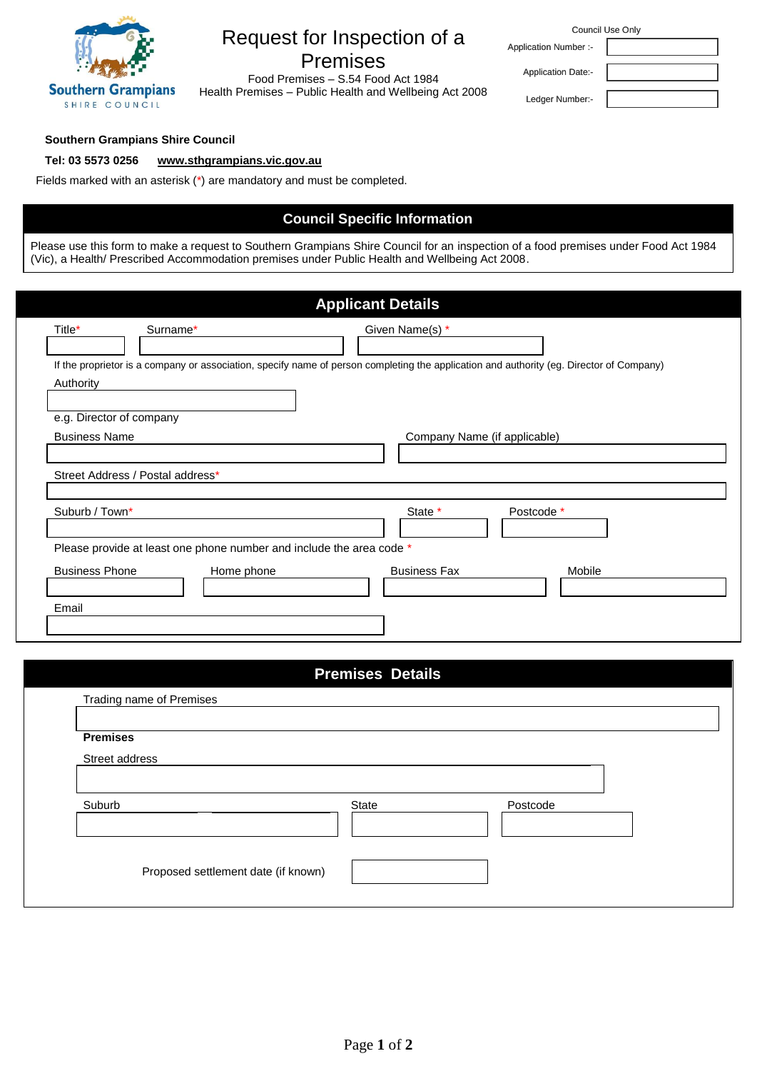

# Request for Inspection of a Premises

Food Act 1984 Food Premises – S.54 Food Act 1984 Health Premises – Public Health and Wellbeing Act 2008 Co

| Council Use Only             |  |  |
|------------------------------|--|--|
| <b>Application Number :-</b> |  |  |
| <b>Application Date:-</b>    |  |  |
| Ledger Number:-              |  |  |

#### **Southern Grampians Shire Council**

## **Tel: 03 5573 0256 [www.sthgrampians.vic.gov.au](http://www.sthgrampians.vic.gov.au/)**

Fields marked with an asterisk (\*) are mandatory and must be completed.

# **Council Specific Information**

Please use this form to make a request to Southern Grampians Shire Council for an inspection of a food premises under Food Act 1984 (Vic), a Health/ Prescribed Accommodation premises under Public Health and Wellbeing Act 2008.

| <b>Applicant Details</b>         |                                                                      |                                                                                                                                          |  |  |  |
|----------------------------------|----------------------------------------------------------------------|------------------------------------------------------------------------------------------------------------------------------------------|--|--|--|
| Title*                           | Surname*                                                             | Given Name(s) *                                                                                                                          |  |  |  |
| Authority                        |                                                                      | If the proprietor is a company or association, specify name of person completing the application and authority (eg. Director of Company) |  |  |  |
|                                  | e.g. Director of company                                             |                                                                                                                                          |  |  |  |
| <b>Business Name</b>             |                                                                      | Company Name (if applicable)                                                                                                             |  |  |  |
| Street Address / Postal address* |                                                                      |                                                                                                                                          |  |  |  |
| Suburb / Town*                   |                                                                      | State *<br>Postcode *                                                                                                                    |  |  |  |
|                                  | Please provide at least one phone number and include the area code * |                                                                                                                                          |  |  |  |
| <b>Business Phone</b>            | Home phone                                                           | <b>Business Fax</b><br>Mobile                                                                                                            |  |  |  |
| Email                            |                                                                      |                                                                                                                                          |  |  |  |

| <b>Premises Details</b>             |       |          |  |  |  |
|-------------------------------------|-------|----------|--|--|--|
| Trading name of Premises            |       |          |  |  |  |
| <b>Premises</b>                     |       |          |  |  |  |
| Street address                      |       |          |  |  |  |
|                                     |       |          |  |  |  |
| Suburb                              | State | Postcode |  |  |  |
|                                     |       |          |  |  |  |
|                                     |       |          |  |  |  |
| Proposed settlement date (if known) |       |          |  |  |  |
|                                     |       |          |  |  |  |